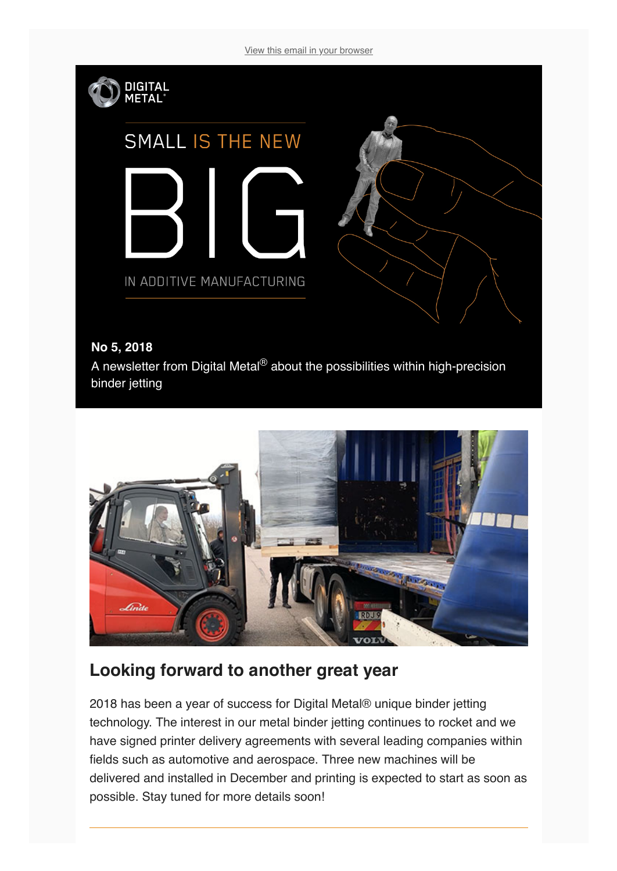[View this email in your browser](https://mailchi.mp/5d7bf6c0a957/lets-make-2019-a-great-3d-metal-printing-year?e=[UNIQID])





## **Looking forward to another great year**

2018 has been a year of success for Digital Metal® unique binder jetting technology. The interest in our metal binder jetting continues to rocket and we have signed printer delivery agreements with several leading companies within fields such as automotive and aerospace. Three new machines will be delivered and installed in December and printing is expected to start as soon as possible. Stay tuned for more details soon!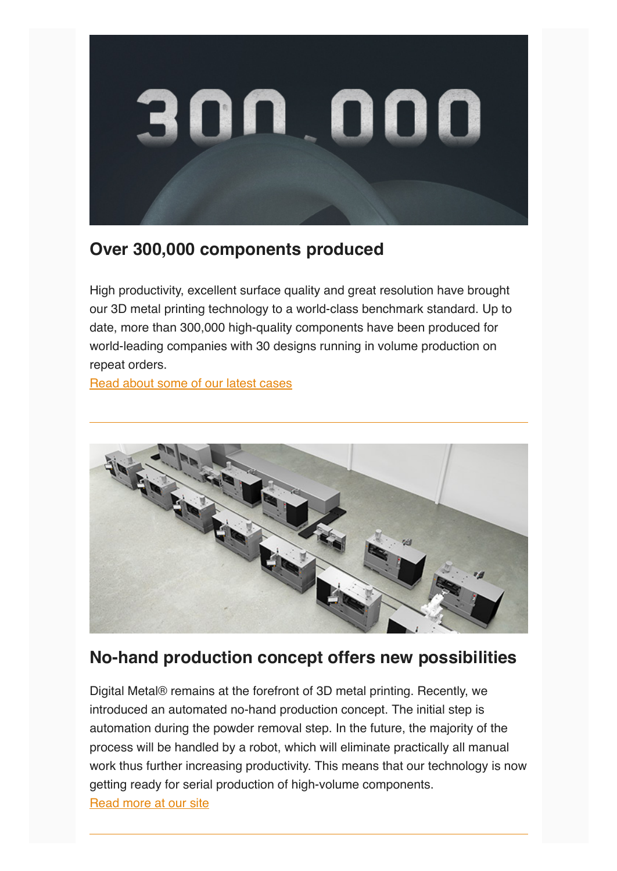

## **Over 300,000 components produced**

High productivity, excellent surface quality and great resolution have brought our 3D metal printing technology to a world-class benchmark standard. Up to date, more than 300,000 high-quality components have been produced for world-leading companies with 30 designs running in volume production on repeat orders.

[Read about some of our latest cases](https://digitalmetal.tech/cases/customers/)



## **No-hand production concept offers new possibilities**

Digital Metal® remains at the forefront of 3D metal printing. Recently, we introduced an automated no-hand production concept. The initial step is automation during the powder removal step. In the future, the majority of the process will be handled by a robot, which will eliminate practically all manual work thus further increasing productivity. This means that our technology is now getting ready for serial production of high-volume components. [Read more at our site](https://digitalmetal.tech/news-and-media/news-flow/)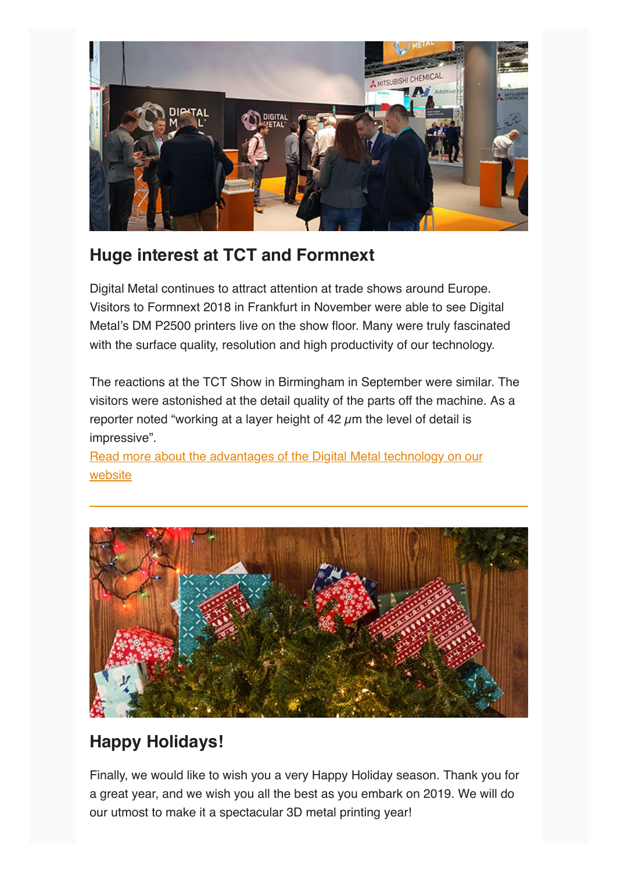

## **Huge interest at TCT and Formnext**

Digital Metal continues to attract attention at trade shows around Europe. Visitors to Formnext 2018 in Frankfurt in November were able to see Digital Metal's DM P2500 printers live on the show floor. Many were truly fascinated with the surface quality, resolution and high productivity of our technology.

The reactions at the TCT Show in Birmingham in September were similar. The visitors were astonished at the detail quality of the parts off the machine. As a reporter noted "working at a layer height of  $42 \mu m$  the level of detail is impressive".

[Read more about the advantages of the Digital Metal technology on our](https://digitalmetal.tech/home-digital-metal/advantages/) website



# **Happy Holidays!**

Finally, we would like to wish you a very Happy Holiday season. Thank you for a great year, and we wish you all the best as you embark on 2019. We will do our utmost to make it a spectacular 3D metal printing year!